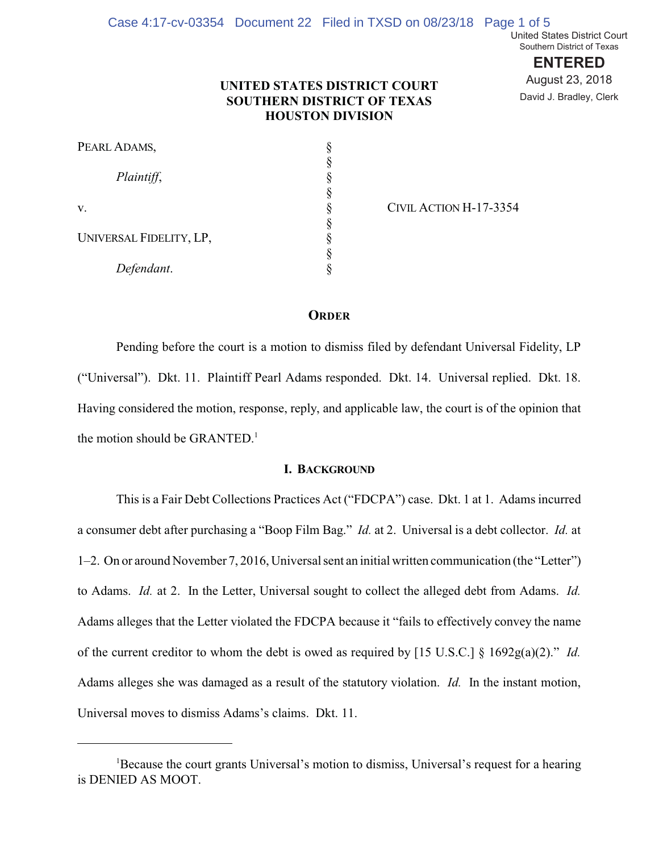**ENTERED** August 23, 2018 David J. Bradley, Clerk

# **UNITED STATES DISTRICT COURT SOUTHERN DISTRICT OF TEXAS HOUSTON DIVISION**

| PEARL ADAMS,            |  |
|-------------------------|--|
| Plaintiff,              |  |
|                         |  |
| v.                      |  |
|                         |  |
| UNIVERSAL FIDELITY, LP, |  |
|                         |  |
| Defendant.              |  |

CIVIL ACTION H-17-3354

# **ORDER**

Pending before the court is a motion to dismiss filed by defendant Universal Fidelity, LP ("Universal"). Dkt. 11. Plaintiff Pearl Adams responded. Dkt. 14. Universal replied. Dkt. 18. Having considered the motion, response, reply, and applicable law, the court is of the opinion that the motion should be GRANTED.<sup>1</sup>

### **I. BACKGROUND**

This is a Fair Debt Collections Practices Act ("FDCPA") case. Dkt. 1 at 1. Adams incurred a consumer debt after purchasing a "Boop Film Bag." *Id.* at 2. Universal is a debt collector. *Id.* at 1–2. On or around November 7, 2016, Universal sent an initial written communication (the "Letter") to Adams. *Id.* at 2. In the Letter, Universal sought to collect the alleged debt from Adams. *Id.*  Adams alleges that the Letter violated the FDCPA because it "fails to effectively convey the name of the current creditor to whom the debt is owed as required by [15 U.S.C.] § 1692g(a)(2)." *Id.*  Adams alleges she was damaged as a result of the statutory violation. *Id.* In the instant motion, Universal moves to dismiss Adams's claims. Dkt. 11.

<sup>&</sup>lt;sup>1</sup>Because the court grants Universal's motion to dismiss, Universal's request for a hearing is DENIED AS MOOT.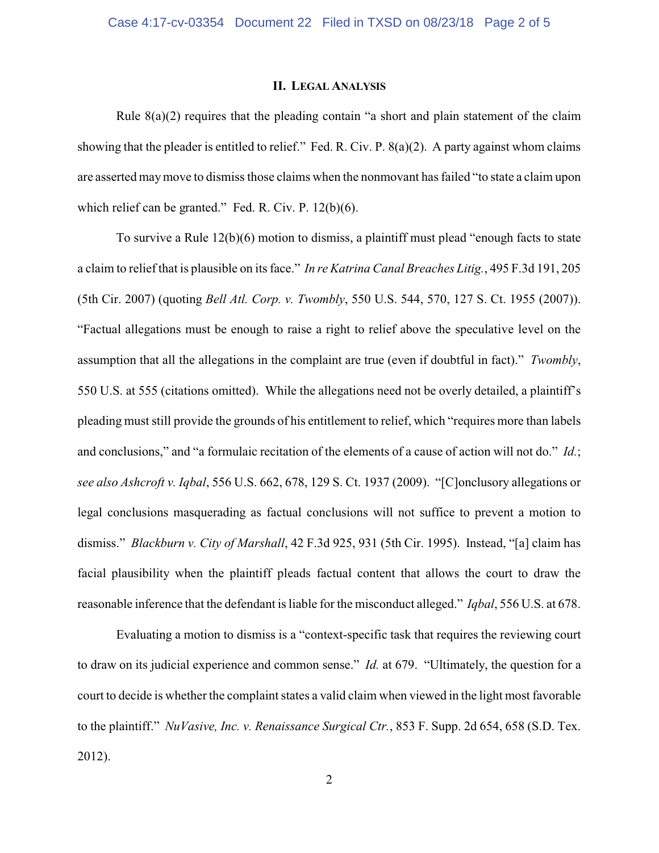### **II. LEGAL ANALYSIS**

Rule  $8(a)(2)$  requires that the pleading contain "a short and plain statement of the claim showing that the pleader is entitled to relief." Fed. R. Civ. P. 8(a)(2). A party against whom claims are asserted may move to dismiss those claims when the nonmovant has failed "to state a claim upon which relief can be granted." Fed. R. Civ. P. 12(b)(6).

To survive a Rule 12(b)(6) motion to dismiss, a plaintiff must plead "enough facts to state a claim to relief that is plausible on its face." *In re Katrina Canal Breaches Litig.*, 495 F.3d 191, 205 (5th Cir. 2007) (quoting *Bell Atl. Corp. v. Twombly*, 550 U.S. 544, 570, 127 S. Ct. 1955 (2007)). "Factual allegations must be enough to raise a right to relief above the speculative level on the assumption that all the allegations in the complaint are true (even if doubtful in fact)." *Twombly*, 550 U.S. at 555 (citations omitted). While the allegations need not be overly detailed, a plaintiff's pleading must still provide the grounds of his entitlement to relief, which "requires more than labels and conclusions," and "a formulaic recitation of the elements of a cause of action will not do." *Id.*; *see also Ashcroft v. Iqbal*, 556 U.S. 662, 678, 129 S. Ct. 1937 (2009). "[C]onclusory allegations or legal conclusions masquerading as factual conclusions will not suffice to prevent a motion to dismiss." *Blackburn v. City of Marshall*, 42 F.3d 925, 931 (5th Cir. 1995). Instead, "[a] claim has facial plausibility when the plaintiff pleads factual content that allows the court to draw the reasonable inference that the defendant is liable for the misconduct alleged." *Iqbal*, 556 U.S. at 678.

Evaluating a motion to dismiss is a "context-specific task that requires the reviewing court to draw on its judicial experience and common sense." *Id.* at 679. "Ultimately, the question for a court to decide is whether the complaint states a valid claim when viewed in the light most favorable to the plaintiff." *NuVasive, Inc. v. Renaissance Surgical Ctr.*, 853 F. Supp. 2d 654, 658 (S.D. Tex. 2012).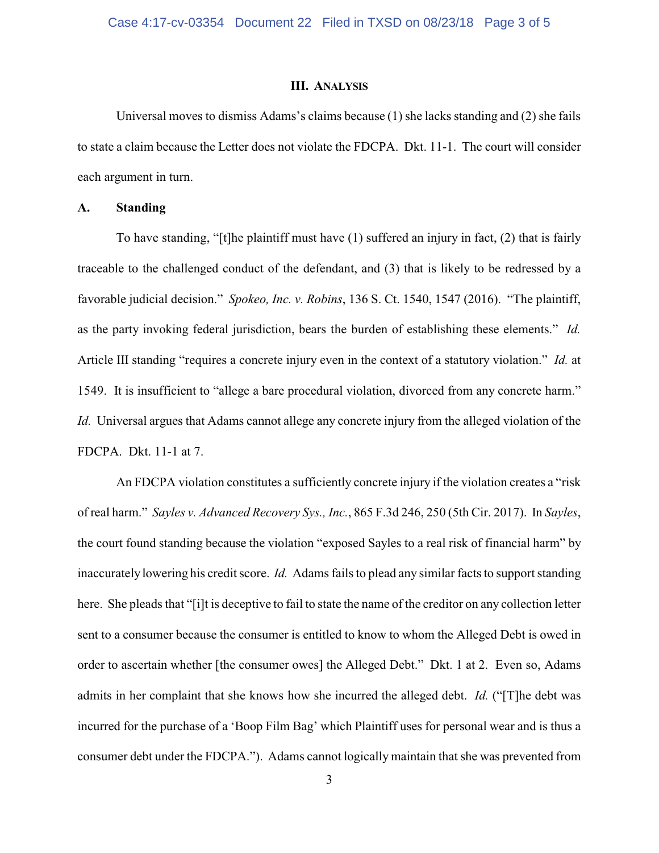#### **III. ANALYSIS**

Universal moves to dismiss Adams's claims because (1) she lacks standing and (2) she fails to state a claim because the Letter does not violate the FDCPA. Dkt. 11-1. The court will consider each argument in turn.

## **A. Standing**

To have standing, "[t]he plaintiff must have (1) suffered an injury in fact, (2) that is fairly traceable to the challenged conduct of the defendant, and (3) that is likely to be redressed by a favorable judicial decision." *Spokeo, Inc. v. Robins*, 136 S. Ct. 1540, 1547 (2016). "The plaintiff, as the party invoking federal jurisdiction, bears the burden of establishing these elements." *Id.*  Article III standing "requires a concrete injury even in the context of a statutory violation." *Id.* at 1549. It is insufficient to "allege a bare procedural violation, divorced from any concrete harm." *Id.* Universal argues that Adams cannot allege any concrete injury from the alleged violation of the FDCPA. Dkt. 11-1 at 7.

An FDCPA violation constitutes a sufficiently concrete injury if the violation creates a "risk of real harm." *Sayles v. Advanced Recovery Sys., Inc.*, 865 F.3d 246, 250 (5th Cir. 2017). In *Sayles*, the court found standing because the violation "exposed Sayles to a real risk of financial harm" by inaccurately lowering his credit score. *Id.* Adams fails to plead any similar facts to support standing here. She pleads that "[i]t is deceptive to fail to state the name of the creditor on any collection letter sent to a consumer because the consumer is entitled to know to whom the Alleged Debt is owed in order to ascertain whether [the consumer owes] the Alleged Debt." Dkt. 1 at 2. Even so, Adams admits in her complaint that she knows how she incurred the alleged debt. *Id.* ("[T]he debt was incurred for the purchase of a 'Boop Film Bag' which Plaintiff uses for personal wear and is thus a consumer debt under the FDCPA."). Adams cannot logically maintain that she was prevented from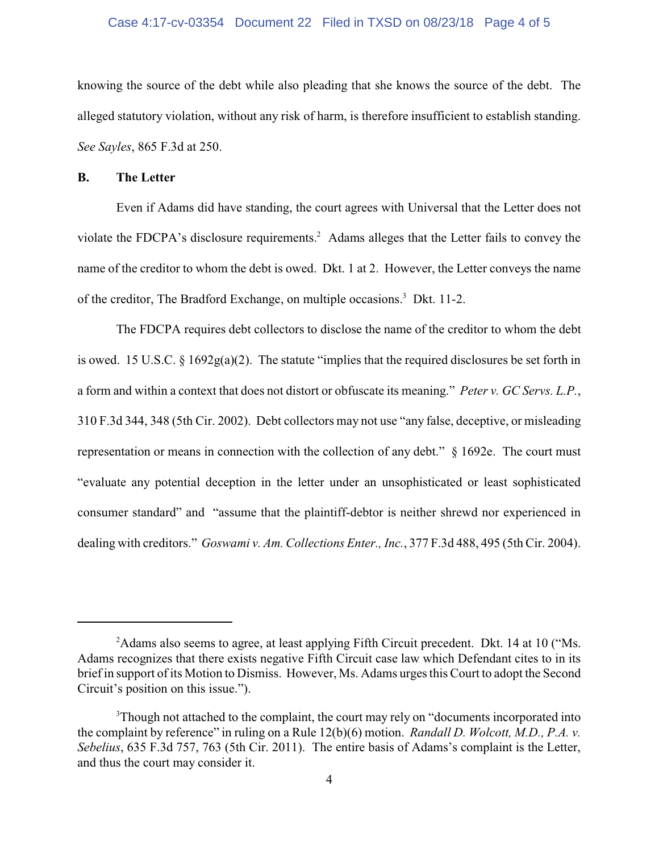#### Case 4:17-cv-03354 Document 22 Filed in TXSD on 08/23/18 Page 4 of 5

knowing the source of the debt while also pleading that she knows the source of the debt. The alleged statutory violation, without any risk of harm, is therefore insufficient to establish standing. *See Sayles*, 865 F.3d at 250.

# **B. The Letter**

Even if Adams did have standing, the court agrees with Universal that the Letter does not violate the FDCPA's disclosure requirements.<sup>2</sup> Adams alleges that the Letter fails to convey the name of the creditor to whom the debt is owed. Dkt. 1 at 2. However, the Letter conveys the name of the creditor, The Bradford Exchange, on multiple occasions.<sup>3</sup> Dkt. 11-2.

The FDCPA requires debt collectors to disclose the name of the creditor to whom the debt is owed. 15 U.S.C. § 1692g(a)(2). The statute "implies that the required disclosures be set forth in a form and within a context that does not distort or obfuscate its meaning." *Peter v. GC Servs. L.P.*, 310 F.3d 344, 348 (5th Cir. 2002). Debt collectors may not use "any false, deceptive, or misleading representation or means in connection with the collection of any debt." § 1692e. The court must "evaluate any potential deception in the letter under an unsophisticated or least sophisticated consumer standard" and "assume that the plaintiff-debtor is neither shrewd nor experienced in dealing with creditors." *Goswami v. Am. Collections Enter., Inc.*, 377 F.3d 488, 495 (5th Cir. 2004).

<sup>&</sup>lt;sup>2</sup>Adams also seems to agree, at least applying Fifth Circuit precedent. Dkt. 14 at 10 ("Ms. Adams recognizes that there exists negative Fifth Circuit case law which Defendant cites to in its brief in support of its Motion to Dismiss. However, Ms. Adams urges this Court to adopt the Second Circuit's position on this issue.").

<sup>&</sup>lt;sup>3</sup>Though not attached to the complaint, the court may rely on "documents incorporated into the complaint by reference" in ruling on a Rule 12(b)(6) motion. *Randall D. Wolcott, M.D., P.A. v. Sebelius*, 635 F.3d 757, 763 (5th Cir. 2011). The entire basis of Adams's complaint is the Letter, and thus the court may consider it.